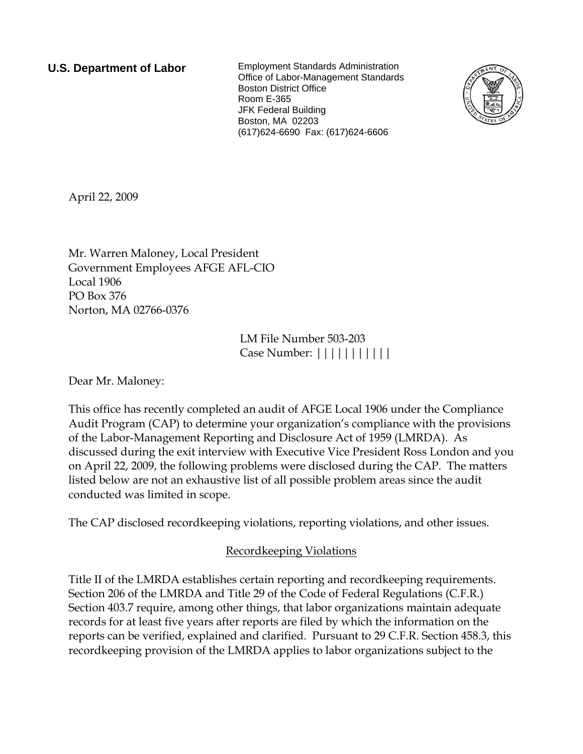**U.S. Department of Labor** Employment Standards Administration Office of Labor-Management Standards Boston District Office Room E-365 JFK Federal Building Boston, MA 02203 (617)624-6690 Fax: (617)624-6606



April 22, 2009

Mr. Warren Maloney, Local President Government Employees AFGE AFL-CIO Local 1906 PO Box 376 Norton, MA 02766-0376

> LM File Number 503-203 Case Number: |||||||||||

Dear Mr. Maloney:

This office has recently completed an audit of AFGE Local 1906 under the Compliance Audit Program (CAP) to determine your organization's compliance with the provisions of the Labor-Management Reporting and Disclosure Act of 1959 (LMRDA). As discussed during the exit interview with Executive Vice President Ross London and you on April 22, 2009, the following problems were disclosed during the CAP. The matters listed below are not an exhaustive list of all possible problem areas since the audit conducted was limited in scope.

The CAP disclosed recordkeeping violations, reporting violations, and other issues.

## Recordkeeping Violations

Title II of the LMRDA establishes certain reporting and recordkeeping requirements. Section 206 of the LMRDA and Title 29 of the Code of Federal Regulations (C.F.R.) Section 403.7 require, among other things, that labor organizations maintain adequate records for at least five years after reports are filed by which the information on the reports can be verified, explained and clarified. Pursuant to 29 C.F.R. Section 458.3, this recordkeeping provision of the LMRDA applies to labor organizations subject to the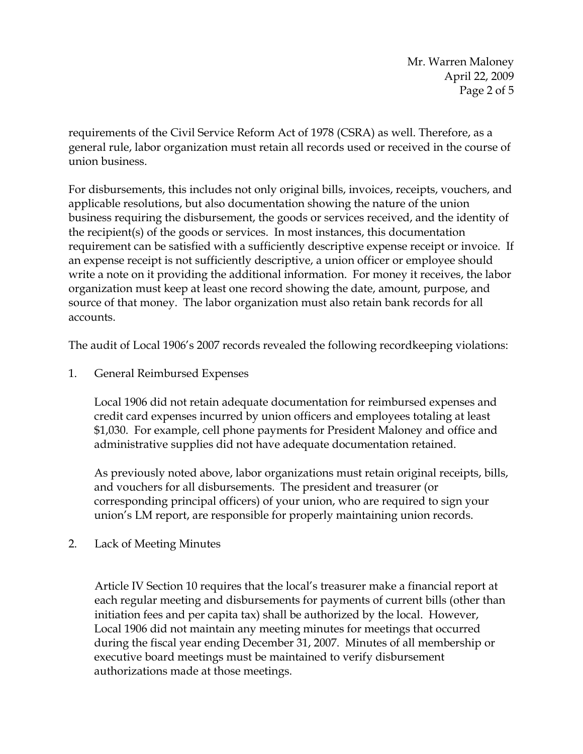Mr. Warren Maloney April 22, 2009 Page 2 of 5

requirements of the Civil Service Reform Act of 1978 (CSRA) as well. Therefore, as a general rule, labor organization must retain all records used or received in the course of union business.

For disbursements, this includes not only original bills, invoices, receipts, vouchers, and applicable resolutions, but also documentation showing the nature of the union business requiring the disbursement, the goods or services received, and the identity of the recipient(s) of the goods or services. In most instances, this documentation requirement can be satisfied with a sufficiently descriptive expense receipt or invoice. If an expense receipt is not sufficiently descriptive, a union officer or employee should write a note on it providing the additional information. For money it receives, the labor organization must keep at least one record showing the date, amount, purpose, and source of that money. The labor organization must also retain bank records for all accounts.

The audit of Local 1906's 2007 records revealed the following recordkeeping violations:

1. General Reimbursed Expenses

Local 1906 did not retain adequate documentation for reimbursed expenses and credit card expenses incurred by union officers and employees totaling at least \$1,030. For example, cell phone payments for President Maloney and office and administrative supplies did not have adequate documentation retained.

As previously noted above, labor organizations must retain original receipts, bills, and vouchers for all disbursements. The president and treasurer (or corresponding principal officers) of your union, who are required to sign your union's LM report, are responsible for properly maintaining union records.

2. Lack of Meeting Minutes

Article IV Section 10 requires that the local's treasurer make a financial report at each regular meeting and disbursements for payments of current bills (other than initiation fees and per capita tax) shall be authorized by the local. However, Local 1906 did not maintain any meeting minutes for meetings that occurred during the fiscal year ending December 31, 2007. Minutes of all membership or executive board meetings must be maintained to verify disbursement authorizations made at those meetings.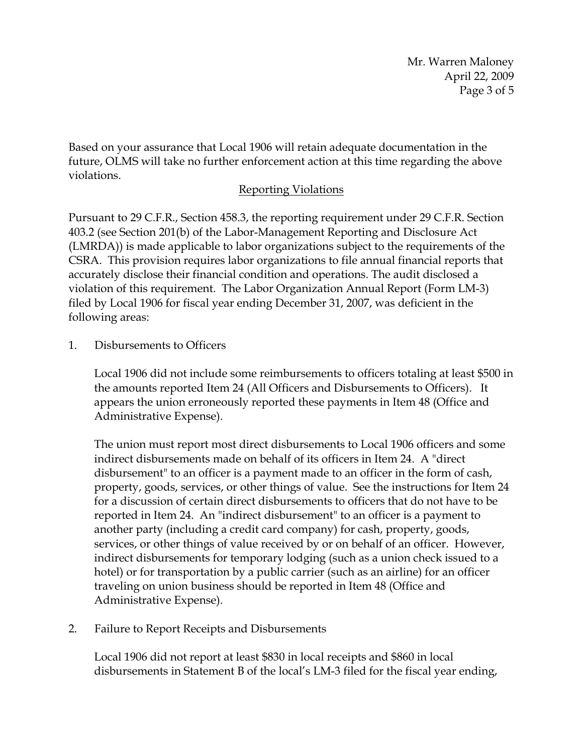Mr. Warren Maloney April 22, 2009 Page 3 of 5

Based on your assurance that Local 1906 will retain adequate documentation in the future, OLMS will take no further enforcement action at this time regarding the above violations.

## Reporting Violations

Pursuant to 29 C.F.R., Section 458.3, the reporting requirement under 29 C.F.R. Section 403.2 (see Section 201(b) of the Labor-Management Reporting and Disclosure Act (LMRDA)) is made applicable to labor organizations subject to the requirements of the CSRA. This provision requires labor organizations to file annual financial reports that accurately disclose their financial condition and operations. The audit disclosed a violation of this requirement. The Labor Organization Annual Report (Form LM-3) filed by Local 1906 for fiscal year ending December 31, 2007, was deficient in the following areas:

1. Disbursements to Officers

Local 1906 did not include some reimbursements to officers totaling at least \$500 in the amounts reported Item 24 (All Officers and Disbursements to Officers). It appears the union erroneously reported these payments in Item 48 (Office and Administrative Expense).

The union must report most direct disbursements to Local 1906 officers and some indirect disbursements made on behalf of its officers in Item 24. A "direct disbursement" to an officer is a payment made to an officer in the form of cash, property, goods, services, or other things of value. See the instructions for Item 24 for a discussion of certain direct disbursements to officers that do not have to be reported in Item 24. An "indirect disbursement" to an officer is a payment to another party (including a credit card company) for cash, property, goods, services, or other things of value received by or on behalf of an officer. However, indirect disbursements for temporary lodging (such as a union check issued to a hotel) or for transportation by a public carrier (such as an airline) for an officer traveling on union business should be reported in Item 48 (Office and Administrative Expense).

2. Failure to Report Receipts and Disbursements

Local 1906 did not report at least \$830 in local receipts and \$860 in local disbursements in Statement B of the local's LM-3 filed for the fiscal year ending,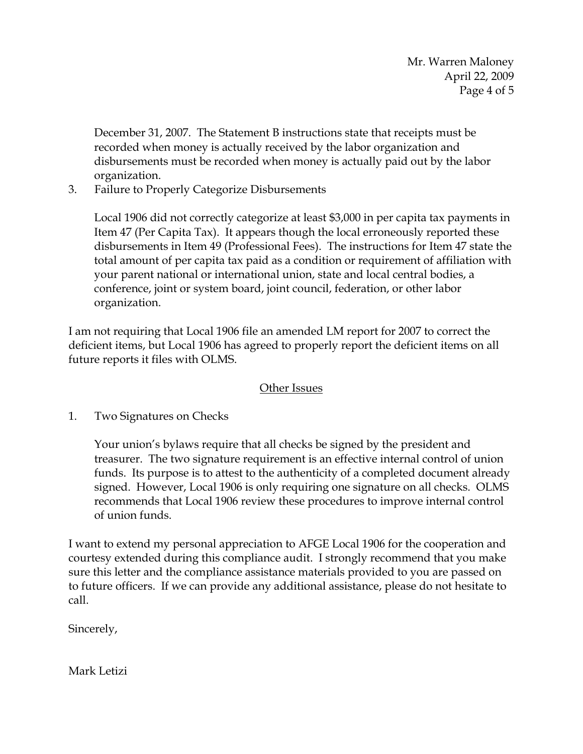Mr. Warren Maloney April 22, 2009 Page 4 of 5

December 31, 2007. The Statement B instructions state that receipts must be recorded when money is actually received by the labor organization and disbursements must be recorded when money is actually paid out by the labor organization.

3. Failure to Properly Categorize Disbursements

Local 1906 did not correctly categorize at least \$3,000 in per capita tax payments in Item 47 (Per Capita Tax). It appears though the local erroneously reported these disbursements in Item 49 (Professional Fees). The instructions for Item 47 state the total amount of per capita tax paid as a condition or requirement of affiliation with your parent national or international union, state and local central bodies, a conference, joint or system board, joint council, federation, or other labor organization.

I am not requiring that Local 1906 file an amended LM report for 2007 to correct the deficient items, but Local 1906 has agreed to properly report the deficient items on all future reports it files with OLMS.

## Other Issues

1. Two Signatures on Checks

Your union's bylaws require that all checks be signed by the president and treasurer. The two signature requirement is an effective internal control of union funds. Its purpose is to attest to the authenticity of a completed document already signed. However, Local 1906 is only requiring one signature on all checks. OLMS recommends that Local 1906 review these procedures to improve internal control of union funds.

I want to extend my personal appreciation to AFGE Local 1906 for the cooperation and courtesy extended during this compliance audit. I strongly recommend that you make sure this letter and the compliance assistance materials provided to you are passed on to future officers. If we can provide any additional assistance, please do not hesitate to call.

Sincerely,

Mark Letizi